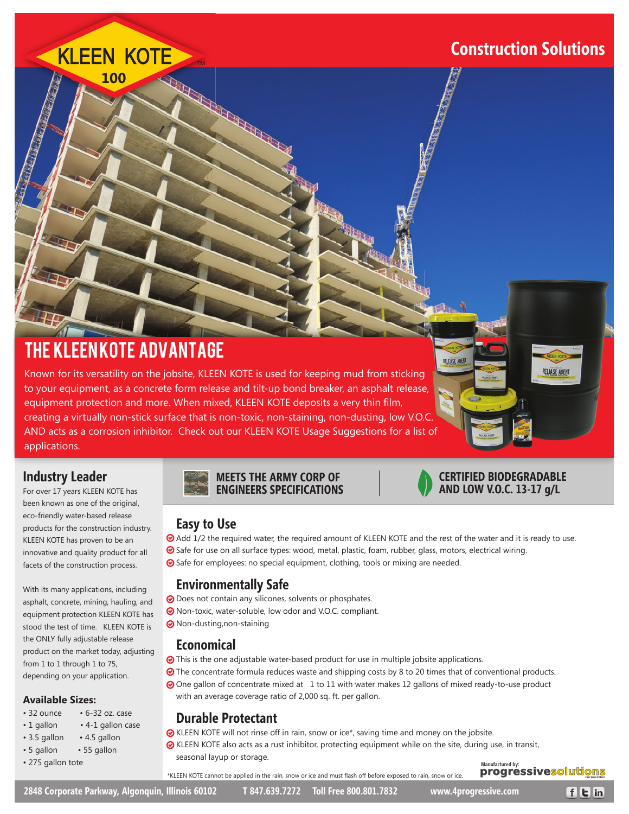### **Construction Solutions**

# KLEEN KOTE THE REAL PROPERTY **100**

## The Kleen Kote Advantage

Known for its versatility on the jobsite, KLEEN KOTE is used for keeping mud from sticking g to your equipment, as a concrete form release and tilt-up bond breaker, an asphalt release, equipment protection and more. When mixed, KLEEN KOTE deposits a very thin film, creating a virtually non-stick surface that is non-toxic, non-staining, non-dusting, low V.O.C. .C. AND acts as a corrosion inhibitor. Check out our KLEEN KOTE Usage Suggestions for a list of applications.

#### **Industry Leader**

For over 17 years KLEEN KOTE has been known as one of the original, eco-friendly water-based release products for the construction industry. KLEEN KOTE has proven to be an innovative and quality product for all facets of the construction process.

With its many applications, including asphalt, concrete, mining, hauling, and equipment protection KLEEN KOTE has stood the test of time. KLEEN KOTE is the ONLY fully adjustable release product on the market today, adjusting from 1 to 1 through 1 to 75, depending on your application.

#### **Available Sizes:**

- 32 ounce 6-32 oz. case
- 1 gallon 4-1 gallon case
- 3.5 gallon 4.5 gallon
- 5 gallon 55 gallon
- 275 gallon tote



#### **CERTIFIED BIODEGRADABLE AND LOW V.O.C. 13-17 g/L**

**RELEASE AGENT** 

**RELEASE AGEN** 

#### **Easy to Use**

Add 1/2 the required water, the required amount of KLEEN KOTE and the rest of the water and it is ready to use. ⊙ Safe for use on all surface types: wood, metal, plastic, foam, rubber, glass, motors, electrical wiring.

Safe for employees: no special equipment, clothing, tools or mixing are needed.

#### **Environmentally Safe**

- O Does not contain any silicones, solvents or phosphates.
- Non-toxic, water-soluble, low odor and V.O.C. compliant.
- **⊙** Non-dusting, non-staining

#### **Economical**

- This is the one adjustable water-based product for use in multiple jobsite applications.
- The concentrate formula reduces waste and shipping costs by 8 to 20 times that of conventional products.
- One gallon of concentrate mixed at 1 to 11 with water makes 12 gallons of mixed ready-to-use product with an average coverage ratio of 2,000 sq. ft. per gallon.

#### **Durable Protectant**

KLEEN KOTE will not rinse off in rain, snow or ice\*, saving time and money on the jobsite.

KLEEN KOTE also acts as a rust inhibitor, protecting equipment while on the site, during use, in transit, seasonal layup or storage.

\*KLEEN KOTE cannot be applied in the rain, snow or ice and must flash off before exposed to rain, snow or ice.

**progressivesolutions** 

 $f$ <sub> $E$ </sub> $in$